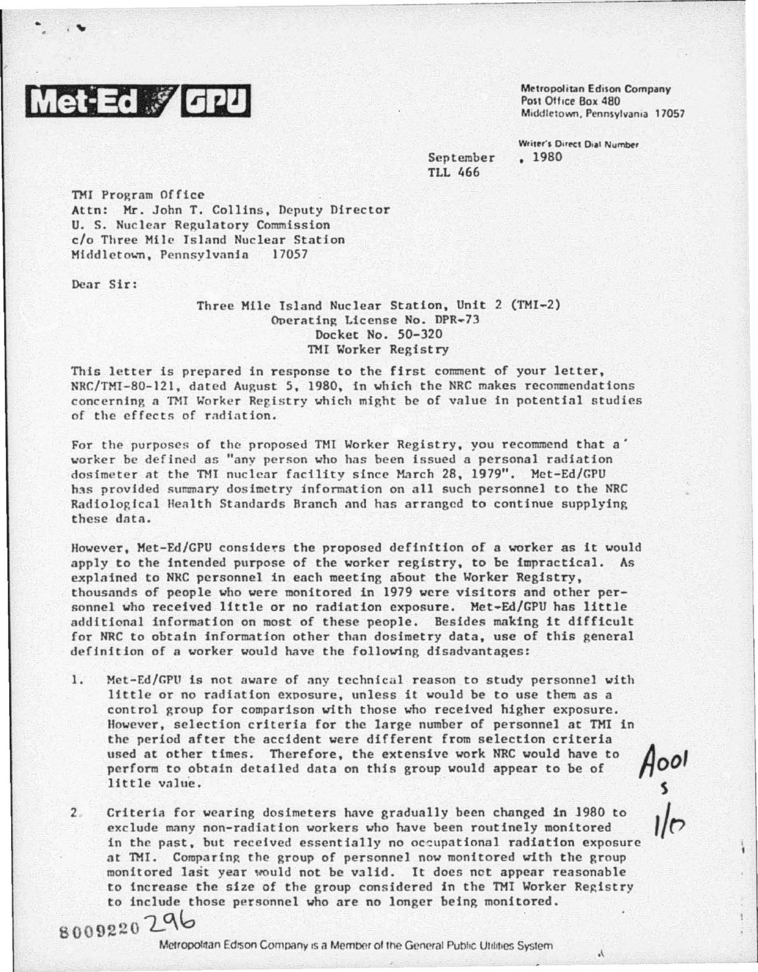

 $\cdot$  ,  $\cdot$ 

Metropolitan Edison Company Post Office Box 480 Middletown, Pennsylvania 17057

h.

September TLL 466

Writer's Direct Dial Number • 1980

TMJ Program Office Attn: Mr. John T. Collins, Deputy Director U. S. Nuclear Regulatory Commission c/o Three Mile Island Nuclear Station<br>Middletown, Pennsylvania 17057 Middletown, Pennsylvania

Dear Sir:

Three Mile Island Nuclear Station, Unit 2 (TMI-2) Operating License No. DPR-73 Docket No. 50-320 TMI Worker Registry

This letter is prepared in response to the first comment of your letter, NRC/TMT-80-121, dated August 5, 1980, in which the NRC makes recommendations concerning a TMI Worker Registry which might be of value in potential studies of the effects of radiation.

For the purposes of the proposed TMI Worker Registry, you recommend that a' worker be defined as "any person who has been issued a personal radiation dosimeter at the TMI nuclear facility since March 28, 1979". Met-Ed/GPU has provided summary dosimetry information on all such personnel to the NRC Radiological Health Standards Rranch and has arranged to continue supplying these datn.

However, Met-Ed/GPU considers the proposed definition of a worker as it would apply to the intended purpose of the worker registry, to be impractical. As explained to NRC personnel in each meeting about the Worker Registry, thousands of people who were monitored in 1979 were visitors and other personnel who received little or no radiation exposure. Met-Ed/GPU has little additional information on most of these people. Besides making it difficult for NRC to obtain information other than dosimetry data, usc of this general definition of a worker would have the following disadvantages:

- 1. Mct-F.d/GPU is not aware of any technical reason to study personnel with little or no radiation exposure, unless it would be to use them as a control group for comparison with those who received higher exposure. However, selection criteria for the large number of personnel at TMI in the period after the accident were different from selection criteria used at other times. Therefore, the extensive work NRC would have to perform to obtain detailed data on this group would appear to be of little value. used at other times. Therefore, the extensive work NRC would have to perform to obtain detailed data on this group would appear to be of  $\bigcap_{s=1}^{\infty}$ <br>Iittle value.<br>Criteria for wearing dosimeters have gradually been ch
- 2 Criteria for wearing dosimeters have gradually been changed in 1980 to exclude many non-radiation workers who have been routinely monitored at TMI. Comparing the group of personnel now monitored with the group monitored last year would not be valid. It does not appear reasonable to increase the size of the group considered in the TMI Worker Registry to include those personnel who are no longer being monitored.

8009220296

Metropolitan Edrson Company is a Member of the General Public Utilities System